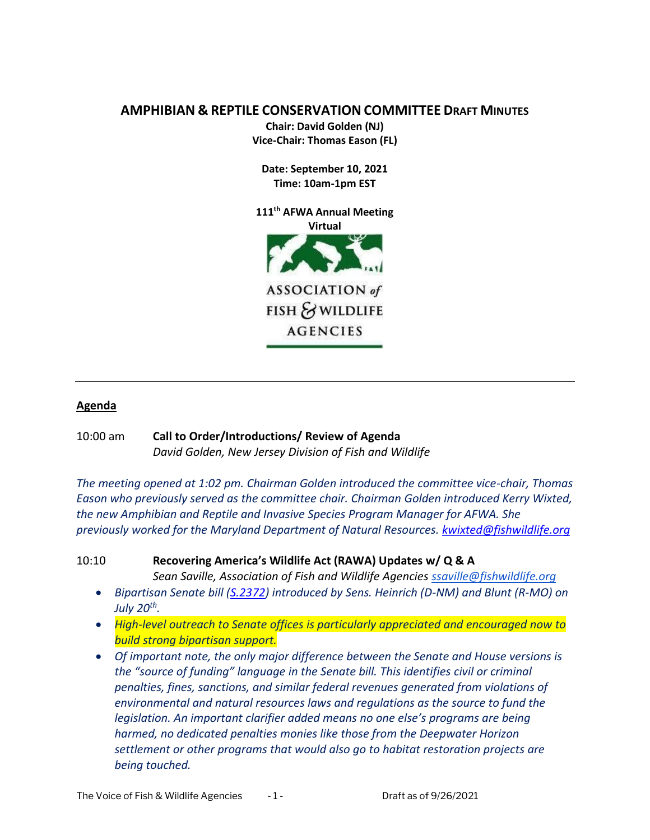#### **AMPHIBIAN & REPTILE CONSERVATION COMMITTEE DRAFT MINUTES**

**Chair: David Golden (NJ) Vice-Chair: Thomas Eason (FL)**

**Date: September 10, 2021 Time: 10am-1pm EST**

**111th AFWA Annual Meeting**



# **Agenda**

#### 10:00 am **Call to Order/Introductions/ Review of Agenda** *David Golden, New Jersey Division of Fish and Wildlife*

*The meeting opened at 1:02 pm. Chairman Golden introduced the committee vice-chair, Thomas Eason who previously served as the committee chair. Chairman Golden introduced Kerry Wixted, the new Amphibian and Reptile and Invasive Species Program Manager for AFWA. She previously worked for the Maryland Department of Natural Resources. [kwixted@fishwildlife.org](mailto:kwixted@fishwildlife.org)*

#### 10:10 **Recovering America's Wildlife Act (RAWA) Updates w/ Q & A**

*Sean Saville, Association of Fish and Wildlife Agencies [ssaville@fishwildlife.org](mailto:ssaville@fishwildlife.org)*

- *Bipartisan Senate bill [\(S.2372\)](https://www.congress.gov/bill/117th-congress/senate-bill/2372/cosponsors?q=%7B%22search%22%3A%5B%22S.2372%22%5D%7D&r=1&s=3) introduced by Sens. Heinrich (D-NM) and Blunt (R-MO) on July 20th .*
- *High-level outreach to Senate offices is particularly appreciated and encouraged now to build strong bipartisan support.*
- *Of important note, the only major difference between the Senate and House versions is the "source of funding" language in the Senate bill. This identifies civil or criminal penalties, fines, sanctions, and similar federal revenues generated from violations of environmental and natural resources laws and regulations as the source to fund the legislation. An important clarifier added means no one else's programs are being harmed, no dedicated penalties monies like those from the Deepwater Horizon settlement or other programs that would also go to habitat restoration projects are being touched.*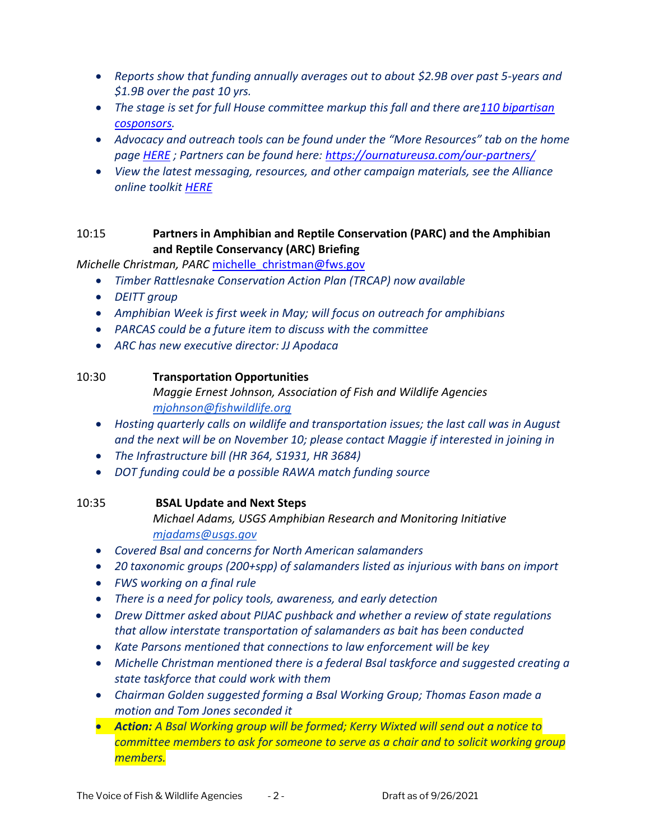- *Reports show that funding annually averages out to about \$2.9B over past 5-years and \$1.9B over the past 10 yrs.*
- *The stage is set for full House committee markup this fall and there ar[e110 bipartisan](https://www.congress.gov/bill/117th-congress/house-bill/2773/cosponsors?searchResultViewType=expanded)  [cosponsors.](https://www.congress.gov/bill/117th-congress/house-bill/2773/cosponsors?searchResultViewType=expanded)*
- *Advocacy and outreach tools can be found under the "More Resources" tab on the home page [HERE](https://ournatureusa.com/) ; Partners can be found here:<https://ournatureusa.com/our-partners/>*
- *View the latest messaging, resources, and other campaign materials, see the Alliance online toolkit [HERE](https://drive.google.com/drive/folders/19oOPZlljZtND4VO6aYxEyWQuc-E9g28T)*

# 10:15 **Partners in Amphibian and Reptile Conservation (PARC) and the Amphibian and Reptile Conservancy (ARC) Briefing**

*Michelle Christman, PARC* [michelle\\_christman@fws.gov](mailto:michelle_christman@fws.gov)

- *Timber Rattlesnake Conservation Action Plan (TRCAP) now available*
- *DEITT group*
- *Amphibian Week is first week in May; will focus on outreach for amphibians*
- *PARCAS could be a future item to discuss with the committee*
- *ARC has new executive director: JJ Apodaca*
- 10:30 **Transportation Opportunities**  *Maggie Ernest Johnson, Association of Fish and Wildlife Agencies [mjohnson@fishwildlife.org](mailto:mjohnson@fishwildlife.org)*
	- *Hosting quarterly calls on wildlife and transportation issues; the last call was in August and the next will be on November 10; please contact Maggie if interested in joining in*
	- *The Infrastructure bill (HR 364, S1931, HR 3684)*
	- *DOT funding could be a possible RAWA match funding source*
- 10:35 **BSAL Update and Next Steps** *Michael Adams, USGS Amphibian Research and Monitoring Initiative [mjadams@usgs.gov](mailto:mjadams@usgs.gov)*
	- *Covered Bsal and concerns for North American salamanders*
	- *20 taxonomic groups (200+spp) of salamanders listed as injurious with bans on import*
	- *FWS working on a final rule*
	- *There is a need for policy tools, awareness, and early detection*
	- *Drew Dittmer asked about PIJAC pushback and whether a review of state regulations that allow interstate transportation of salamanders as bait has been conducted*
	- *Kate Parsons mentioned that connections to law enforcement will be key*
	- *Michelle Christman mentioned there is a federal Bsal taskforce and suggested creating a state taskforce that could work with them*
	- *Chairman Golden suggested forming a Bsal Working Group; Thomas Eason made a motion and Tom Jones seconded it*
	- *Action: A Bsal Working group will be formed; Kerry Wixted will send out a notice to committee members to ask for someone to serve as a chair and to solicit working group members.*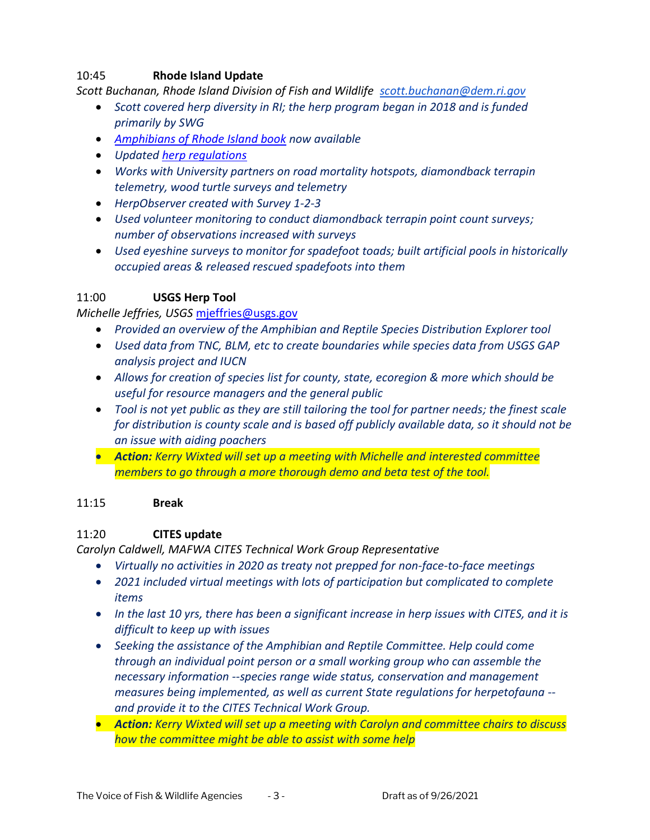# 10:45 **Rhode Island Update**

*Scott Buchanan, Rhode Island Division of Fish and Wildlife [scott.buchanan@dem.ri.gov](mailto:scott.buchanan@dem.ri.gov)* 

- *Scott covered herp diversity in RI; the herp program began in 2018 and is funded primarily by SWG*
- *[Amphibians of Rhode Island book](http://www.dem.ri.gov/programs/fish-wildlife/publications/amphibians.php) now available*
- *Updated [herp regulations](https://regulations.justia.com/states/rhode-island/title-250/chapter-60/subchapter-00/part-9/250-ricr-60-00-9-15/)*
- *Works with University partners on road mortality hotspots, diamondback terrapin telemetry, wood turtle surveys and telemetry*
- *HerpObserver created with Survey 1-2-3*
- *Used volunteer monitoring to conduct diamondback terrapin point count surveys; number of observations increased with surveys*
- *Used eyeshine surveys to monitor for spadefoot toads; built artificial pools in historically occupied areas & released rescued spadefoots into them*

# 11:00 **USGS Herp Tool**

*Michelle Jeffries, USGS* [mjeffries@usgs.gov](mailto:mjeffries@usgs.gov)

- *Provided an overview of the Amphibian and Reptile Species Distribution Explorer tool*
- *Used data from TNC, BLM, etc to create boundaries while species data from USGS GAP analysis project and IUCN*
- *Allows for creation of species list for county, state, ecoregion & more which should be useful for resource managers and the general public*
- *Tool is not yet public as they are still tailoring the tool for partner needs; the finest scale for distribution is county scale and is based off publicly available data, so it should not be an issue with aiding poachers*
- *Action: Kerry Wixted will set up a meeting with Michelle and interested committee members to go through a more thorough demo and beta test of the tool.*

# 11:15 **Break**

# 11:20 **CITES update**

*Carolyn Caldwell, MAFWA CITES Technical Work Group Representative*

- *Virtually no activities in 2020 as treaty not prepped for non-face-to-face meetings*
- *2021 included virtual meetings with lots of participation but complicated to complete items*
- *In the last 10 yrs, there has been a significant increase in herp issues with CITES, and it is difficult to keep up with issues*
- *Seeking the assistance of the Amphibian and Reptile Committee. Help could come through an individual point person or a small working group who can assemble the necessary information --species range wide status, conservation and management measures being implemented, as well as current State regulations for herpetofauna - and provide it to the CITES Technical Work Group.*
- *Action: Kerry Wixted will set up a meeting with Carolyn and committee chairs to discuss how the committee might be able to assist with some help*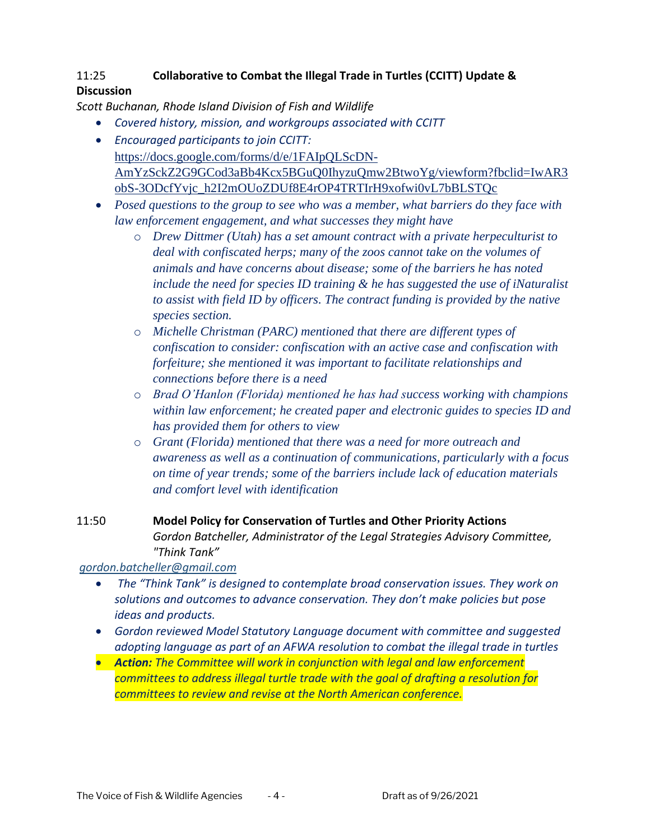# 11:25 **Collaborative to Combat the Illegal Trade in Turtles (CCITT) Update &**

#### **Discussion**

*Scott Buchanan, Rhode Island Division of Fish and Wildlife*

- *Covered history, mission, and workgroups associated with CCITT*
- *Encouraged participants to join CCITT:*  [https://docs.google.com/forms/d/e/1FAIpQLScDN-](https://docs.google.com/forms/d/e/1FAIpQLScDN-AmYzSckZ2G9GCod3aBb4Kcx5BGuQ0IhyzuQmw2BtwoYg/viewform?fbclid=IwAR3obS-3ODcfYvjc_h2I2mOUoZDUf8E4rOP4TRTIrH9xofwi0vL7bBLSTQc)[AmYzSckZ2G9GCod3aBb4Kcx5BGuQ0IhyzuQmw2BtwoYg/viewform?fbclid=IwAR3](https://docs.google.com/forms/d/e/1FAIpQLScDN-AmYzSckZ2G9GCod3aBb4Kcx5BGuQ0IhyzuQmw2BtwoYg/viewform?fbclid=IwAR3obS-3ODcfYvjc_h2I2mOUoZDUf8E4rOP4TRTIrH9xofwi0vL7bBLSTQc) [obS-3ODcfYvjc\\_h2I2mOUoZDUf8E4rOP4TRTIrH9xofwi0vL7bBLSTQc](https://docs.google.com/forms/d/e/1FAIpQLScDN-AmYzSckZ2G9GCod3aBb4Kcx5BGuQ0IhyzuQmw2BtwoYg/viewform?fbclid=IwAR3obS-3ODcfYvjc_h2I2mOUoZDUf8E4rOP4TRTIrH9xofwi0vL7bBLSTQc)
- *Posed questions to the group to see who was a member, what barriers do they face with law enforcement engagement, and what successes they might have*
	- o *Drew Dittmer (Utah) has a set amount contract with a private herpeculturist to deal with confiscated herps; many of the zoos cannot take on the volumes of animals and have concerns about disease; some of the barriers he has noted include the need for species ID training & he has suggested the use of iNaturalist to assist with field ID by officers. The contract funding is provided by the native species section.*
	- o *Michelle Christman (PARC) mentioned that there are different types of confiscation to consider: confiscation with an active case and confiscation with forfeiture; she mentioned it was important to facilitate relationships and connections before there is a need*
	- o *Brad O'Hanlon (Florida) mentioned he has had success working with champions within law enforcement; he created paper and electronic guides to species ID and has provided them for others to view*
	- o *Grant (Florida) mentioned that there was a need for more outreach and awareness as well as a continuation of communications, particularly with a focus on time of year trends; some of the barriers include lack of education materials and comfort level with identification*
- 11:50 **Model Policy for Conservation of Turtles and Other Priority Actions**  *Gordon Batcheller, Administrator of the Legal Strategies Advisory Committee, "Think Tank"*

# *[gordon.batcheller@gmail.com](mailto:gordon.batcheller@gmail.com)*

- *The "Think Tank" is designed to contemplate broad conservation issues. They work on solutions and outcomes to advance conservation. They don't make policies but pose ideas and products.*
- *Gordon reviewed Model Statutory Language document with committee and suggested adopting language as part of an AFWA resolution to combat the illegal trade in turtles*
- *Action: The Committee will work in conjunction with legal and law enforcement committees to address illegal turtle trade with the goal of drafting a resolution for committees to review and revise at the North American conference.*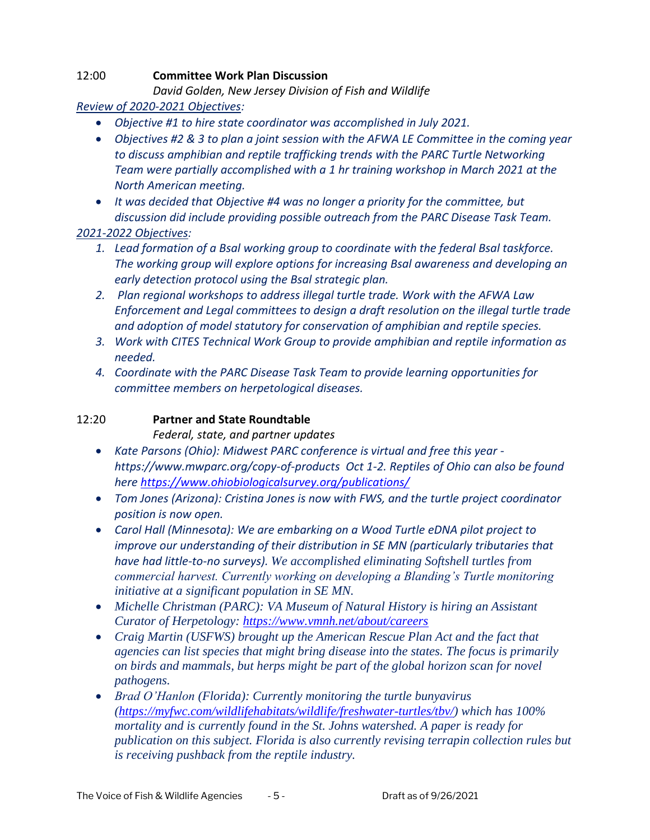#### 12:00 **Committee Work Plan Discussion**

*David Golden, New Jersey Division of Fish and Wildlife*

*Review of 2020-2021 Objectives:* 

- *Objective #1 to hire state coordinator was accomplished in July 2021.*
- *Objectives #2 & 3 to plan a joint session with the AFWA LE Committee in the coming year to discuss amphibian and reptile trafficking trends with the PARC Turtle Networking Team were partially accomplished with a 1 hr training workshop in March 2021 at the North American meeting.*
- *It was decided that Objective #4 was no longer a priority for the committee, but discussion did include providing possible outreach from the PARC Disease Task Team.*

# *2021-2022 Objectives:*

- *1. Lead formation of a Bsal working group to coordinate with the federal Bsal taskforce. The working group will explore options for increasing Bsal awareness and developing an early detection protocol using the Bsal strategic plan.*
- *2. Plan regional workshops to address illegal turtle trade. Work with the AFWA Law Enforcement and Legal committees to design a draft resolution on the illegal turtle trade and adoption of model statutory for conservation of amphibian and reptile species.*
- *3. Work with CITES Technical Work Group to provide amphibian and reptile information as needed.*
- *4. Coordinate with the PARC Disease Task Team to provide learning opportunities for committee members on herpetological diseases.*

# 12:20 **Partner and State Roundtable**

*Federal, state, and partner updates*

- *Kate Parsons (Ohio): Midwest PARC conference is virtual and free this year https://www.mwparc.org/copy-of-products Oct 1-2. Reptiles of Ohio can also be found here<https://www.ohiobiologicalsurvey.org/publications/>*
- *Tom Jones (Arizona): Cristina Jones is now with FWS, and the turtle project coordinator position is now open.*
- *Carol Hall (Minnesota): We are embarking on a Wood Turtle eDNA pilot project to improve our understanding of their distribution in SE MN (particularly tributaries that have had little-to-no surveys). We accomplished eliminating Softshell turtles from commercial harvest. Currently working on developing a Blanding's Turtle monitoring initiative at a significant population in SE MN.*
- *Michelle Christman (PARC): VA Museum of Natural History is hiring an Assistant Curator of Herpetology:<https://www.vmnh.net/about/careers>*
- *Craig Martin (USFWS) brought up the American Rescue Plan Act and the fact that agencies can list species that might bring disease into the states. The focus is primarily on birds and mammals, but herps might be part of the global horizon scan for novel pathogens.*
- *Brad O'Hanlon (Florida): Currently monitoring the turtle bunyavirus [\(https://myfwc.com/wildlifehabitats/wildlife/freshwater-turtles/tbv/\)](https://myfwc.com/wildlifehabitats/wildlife/freshwater-turtles/tbv/) which has 100% mortality and is currently found in the St. Johns watershed. A paper is ready for publication on this subject. Florida is also currently revising terrapin collection rules but is receiving pushback from the reptile industry.*